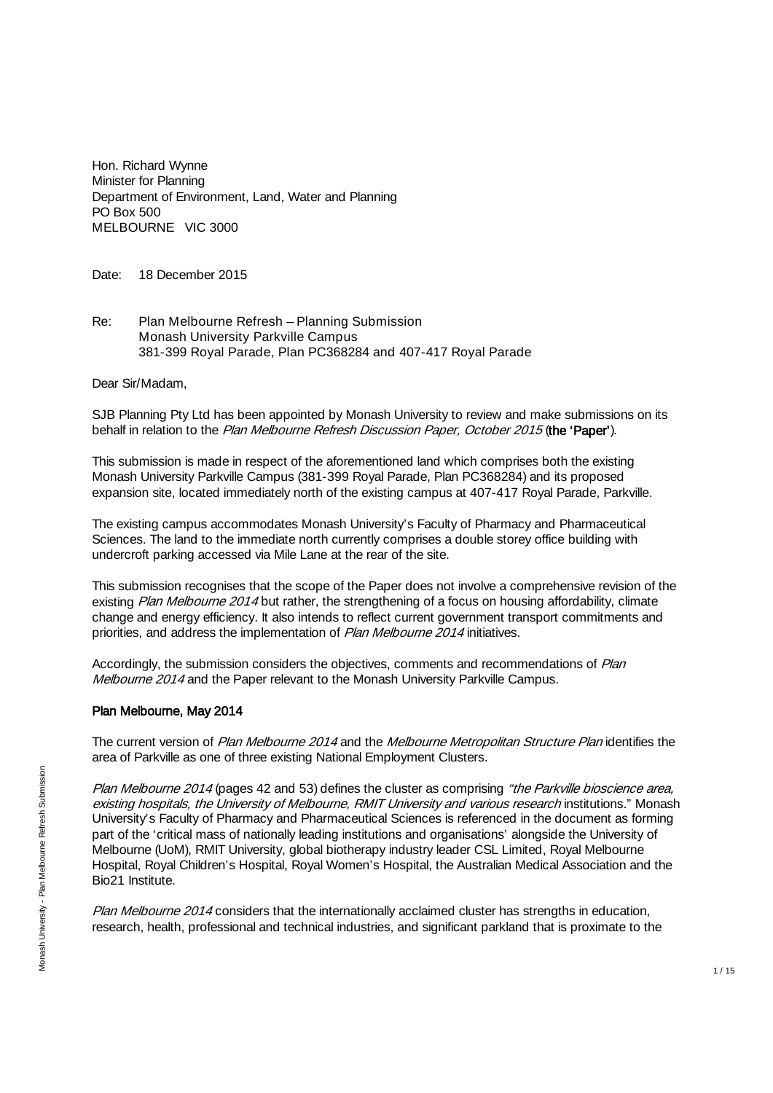Hon. Richard Wynne Minister for Planning Department of Environment, Land, Water and Planning PO Box 500 MELBOURNE VIC 3000

Date: 18 December 2015

Re: Plan Melbourne Refresh – Planning Submission Monash University Parkville Campus 381-399 Royal Parade, Plan PC368284 and 407-417 Royal Parade

Dear Sir/Madam,

SJB Planning Pty Ltd has been appointed by Monash University to review and make submissions on its behalf in relation to the Plan Melbourne Refresh Discussion Paper, October 2015 (the 'Paper').

This submission is made in respect of the aforementioned land which comprises both the existing Monash University Parkville Campus (381-399 Royal Parade, Plan PC368284) and its proposed expansion site, located immediately north of the existing campus at 407-417 Royal Parade, Parkville.

The existing campus accommodates Monash University's Faculty of Pharmacy and Pharmaceutical Sciences. The land to the immediate north currently comprises a double storey office building with undercroft parking accessed via Mile Lane at the rear of the site.

This submission recognises that the scope of the Paper does not involve a comprehensive revision of the existing Plan Melbourne 2014 but rather, the strengthening of a focus on housing affordability, climate change and energy efficiency. It also intends to reflect current government transport commitments and priorities, and address the implementation of Plan Melbourne 2014 initiatives.

Accordingly, the submission considers the objectives, comments and recommendations of Plan Melbourne 2014 and the Paper relevant to the Monash University Parkville Campus.

#### Plan Melbourne, May 2014

The current version of Plan Melbourne 2014 and the Melbourne Metropolitan Structure Plan identifies the area of Parkville as one of three existing National Employment Clusters.

Plan Melbourne 2014 (pages 42 and 53) defines the cluster as comprising "the Parkville bioscience area, existing hospitals, the University of Melbourne, RMIT University and various research institutions." Monash University's Faculty of Pharmacy and Pharmaceutical Sciences is referenced in the document as forming part of the 'critical mass of nationally leading institutions and organisations' alongside the University of Melbourne (UoM), RMIT University, global biotherapy industry leader CSL Limited, Royal Melbourne Hospital, Royal Children's Hospital, Royal Women's Hospital, the Australian Medical Association and the Bio21 Institute.

Plan Melbourne 2014 considers that the internationally acclaimed cluster has strengths in education, research, health, professional and technical industries, and significant parkland that is proximate to the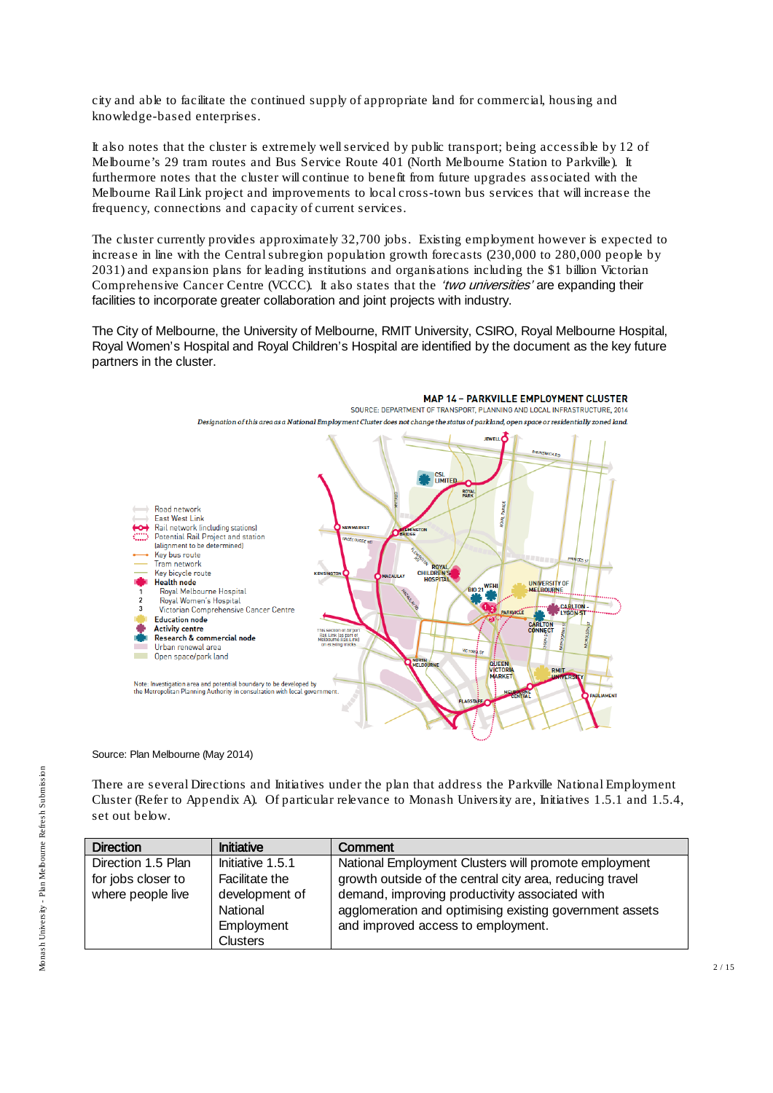city and able to facilitate the continued supply of appropriate land for commercial, housing and knowledge-based enterprises.

It also notes that the cluster is extremely well serviced by public transport; being accessible by 12 of Melbourne's 29 tram routes and Bus Service Route 401 (North Melbourne Station to Parkville). It furthermore notes that the cluster will continue to benefit from future upgrades associated with the Melbourne Rail Link project and improvements to local cross-town bus services that will increase the frequency, connections and capacity of current services.

The cluster currently provides approximately 32,700 jobs. Existing employment however is expected to increase in line with the Central subregion population growth forecasts  $(230,000$  to 280,000 people by 2031) and expansion plans for leading institutions and organisations including the \$1 billion Victorian Comprehensive Cancer Centre (VCCC). It also states that the 'two universities' are expanding their facilities to incorporate greater collaboration and joint projects with industry.

The City of Melbourne, the University of Melbourne, RMIT University, CSIRO, Royal Melbourne Hospital, Royal Women's Hospital and Royal Children's Hospital are identified by the document as the key future partners in the cluster.



#### Source: Plan Melbourne (May 2014)

There are several Directions and Initiatives under the plan that address the Parkville National Employment Cluster (Refer to Appendix A). Of particular relevance to Monash University are, Initiatives 1.5.1 and 1.5.4, set out below.

| <b>Direction</b>                                              | <b>Initiative</b>                                                              | Comment                                                                                                                                                                                                                                                             |
|---------------------------------------------------------------|--------------------------------------------------------------------------------|---------------------------------------------------------------------------------------------------------------------------------------------------------------------------------------------------------------------------------------------------------------------|
| Direction 1.5 Plan<br>for jobs closer to<br>where people live | Initiative 1.5.1<br>Facilitate the<br>development of<br>National<br>Employment | National Employment Clusters will promote employment<br>growth outside of the central city area, reducing travel<br>demand, improving productivity associated with<br>agglomeration and optimising existing government assets<br>and improved access to employment. |
|                                                               | <b>Clusters</b>                                                                |                                                                                                                                                                                                                                                                     |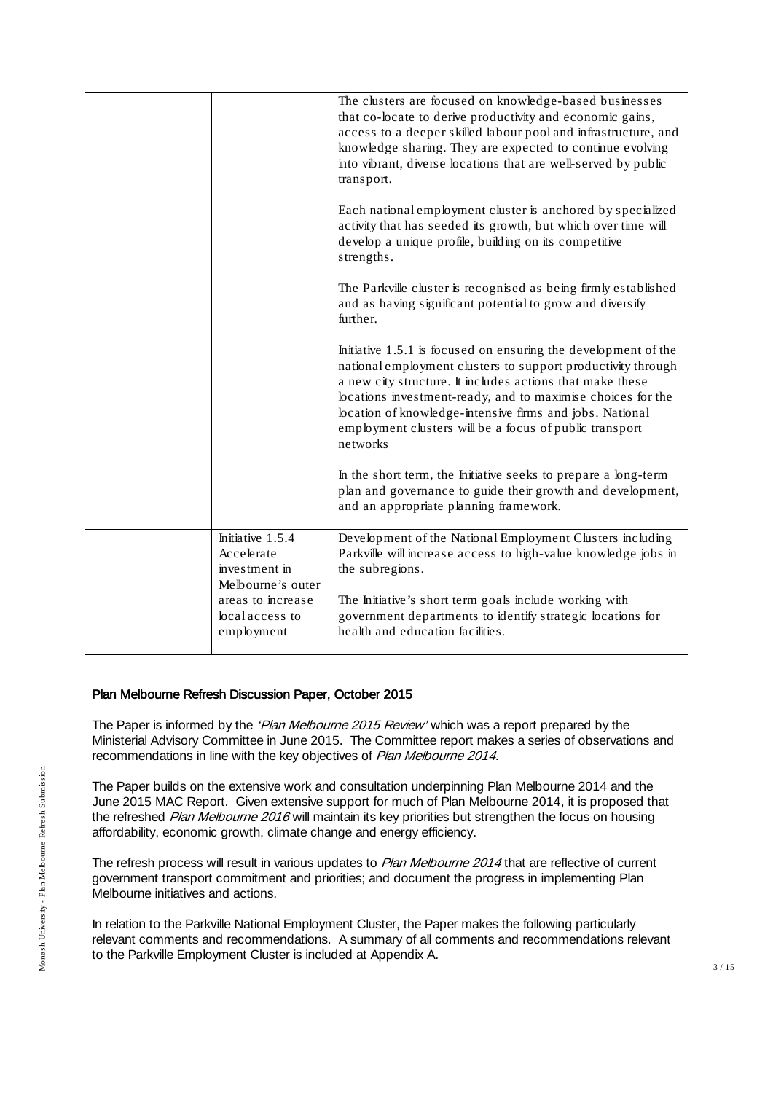|                                                                      | The clusters are focused on knowledge-based businesses<br>that co-locate to derive productivity and economic gains,<br>access to a deeper skilled labour pool and infrastructure, and<br>knowledge sharing. They are expected to continue evolving<br>into vibrant, diverse locations that are well-served by public<br>transport.                                                            |
|----------------------------------------------------------------------|-----------------------------------------------------------------------------------------------------------------------------------------------------------------------------------------------------------------------------------------------------------------------------------------------------------------------------------------------------------------------------------------------|
|                                                                      | Each national employment cluster is anchored by specialized<br>activity that has seeded its growth, but which over time will<br>develop a unique profile, building on its competitive<br>strengths.                                                                                                                                                                                           |
|                                                                      | The Parkville cluster is recognised as being firmly established<br>and as having significant potential to grow and diversify<br>further.                                                                                                                                                                                                                                                      |
|                                                                      | Initiative 1.5.1 is focused on ensuring the development of the<br>national employment clusters to support productivity through<br>a new city structure. It includes actions that make these<br>locations investment-ready, and to maximise choices for the<br>location of knowledge-intensive firms and jobs. National<br>employment clusters will be a focus of public transport<br>networks |
|                                                                      | In the short term, the Initiative seeks to prepare a long-term<br>plan and governance to guide their growth and development,<br>and an appropriate planning framework.                                                                                                                                                                                                                        |
| Initiative 1.5.4<br>Accelerate<br>investment in<br>Melbourne's outer | Development of the National Employment Clusters including<br>Parkville will increase access to high-value knowledge jobs in<br>the subregions.                                                                                                                                                                                                                                                |
| areas to increase<br>local access to<br>employment                   | The Initiative's short term goals include working with<br>government departments to identify strategic locations for<br>health and education facilities.                                                                                                                                                                                                                                      |
|                                                                      |                                                                                                                                                                                                                                                                                                                                                                                               |

#### Plan Melbourne Refresh Discussion Paper, October 2015

The Paper is informed by the 'Plan Melbourne 2015 Review' which was a report prepared by the Ministerial Advisory Committee in June 2015. The Committee report makes a series of observations and recommendations in line with the key objectives of Plan Melbourne 2014.

The Paper builds on the extensive work and consultation underpinning Plan Melbourne 2014 and the June 2015 MAC Report. Given extensive support for much of Plan Melbourne 2014, it is proposed that the refreshed Plan Melbourne 2016 will maintain its key priorities but strengthen the focus on housing affordability, economic growth, climate change and energy efficiency.

The refresh process will result in various updates to Plan Melbourne 2014 that are reflective of current government transport commitment and priorities; and document the progress in implementing Plan Melbourne initiatives and actions.

In relation to the Parkville National Employment Cluster, the Paper makes the following particularly relevant comments and recommendations. A summary of all comments and recommendations relevant to the Parkville Employment Cluster is included at Appendix A.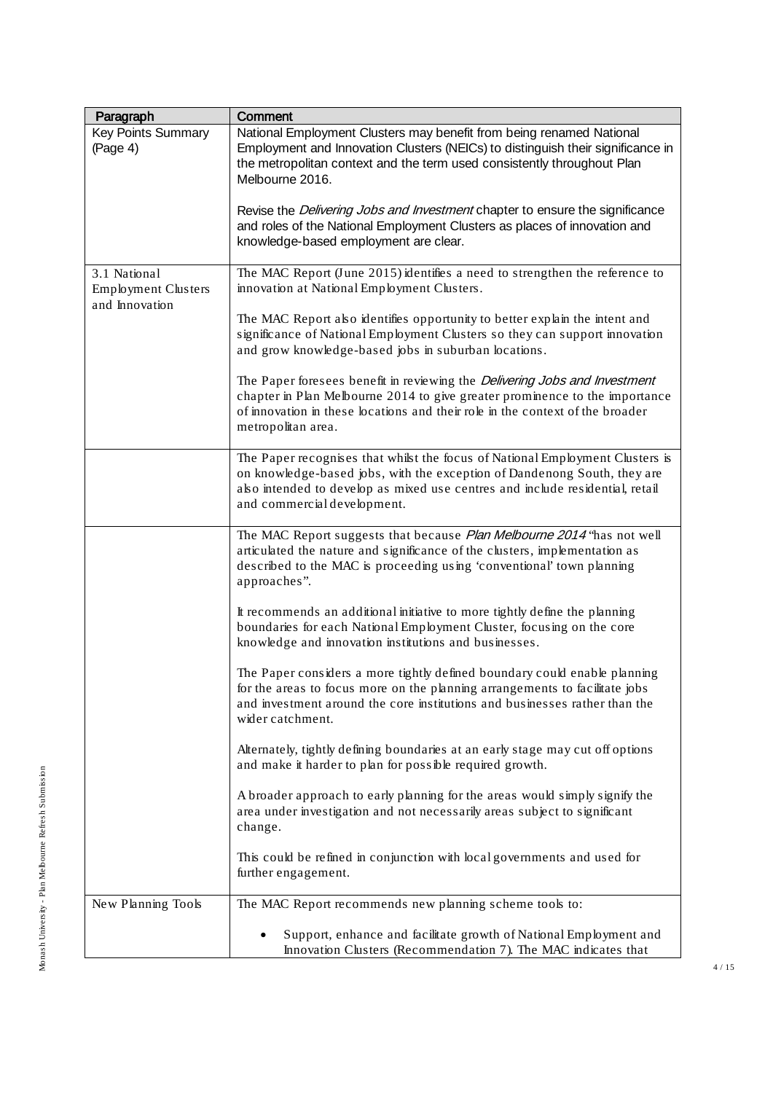| Paragraph                                                    | Comment                                                                                                                                                                                                                                                                                                                                      |
|--------------------------------------------------------------|----------------------------------------------------------------------------------------------------------------------------------------------------------------------------------------------------------------------------------------------------------------------------------------------------------------------------------------------|
| <b>Key Points Summary</b><br>(Page 4)                        | National Employment Clusters may benefit from being renamed National<br>Employment and Innovation Clusters (NEICs) to distinguish their significance in<br>the metropolitan context and the term used consistently throughout Plan<br>Melbourne 2016.<br>Revise the <i>Delivering Jobs and Investment</i> chapter to ensure the significance |
|                                                              | and roles of the National Employment Clusters as places of innovation and<br>knowledge-based employment are clear.                                                                                                                                                                                                                           |
| 3.1 National<br><b>Employment Clusters</b><br>and Innovation | The MAC Report (June 2015) identifies a need to strengthen the reference to<br>innovation at National Employment Clusters.                                                                                                                                                                                                                   |
|                                                              | The MAC Report also identifies opportunity to better explain the intent and<br>significance of National Employment Clusters so they can support innovation<br>and grow knowledge-based jobs in suburban locations.                                                                                                                           |
|                                                              | The Paper foresees benefit in reviewing the Delivering Jobs and Investment<br>chapter in Plan Melbourne 2014 to give greater prominence to the importance<br>of innovation in these locations and their role in the context of the broader<br>metropolitan area.                                                                             |
|                                                              | The Paper recognises that whilst the focus of National Employment Clusters is<br>on knowledge-based jobs, with the exception of Dandenong South, they are<br>also intended to develop as mixed use centres and include residential, retail<br>and commercial development.                                                                    |
|                                                              | The MAC Report suggests that because Plan Melbourne 2014 "has not well<br>articulated the nature and significance of the clusters, implementation as<br>described to the MAC is proceeding using 'conventional' town planning<br>approaches".                                                                                                |
|                                                              | It recommends an additional initiative to more tightly define the planning<br>boundaries for each National Employment Cluster, focusing on the core<br>knowledge and innovation institutions and businesses.                                                                                                                                 |
|                                                              | The Paper considers a more tightly defined boundary could enable planning<br>for the areas to focus more on the planning arrangements to facilitate jobs<br>and investment around the core institutions and businesses rather than the<br>wider catchment.                                                                                   |
|                                                              | Alternately, tightly defining boundaries at an early stage may cut off options<br>and make it harder to plan for possible required growth.                                                                                                                                                                                                   |
|                                                              | A broader approach to early planning for the areas would simply signify the<br>area under investigation and not necessarily areas subject to significant<br>change.                                                                                                                                                                          |
|                                                              | This could be refined in conjunction with local governments and used for<br>further engagement.                                                                                                                                                                                                                                              |
| New Planning Tools                                           | The MAC Report recommends new planning scheme tools to:                                                                                                                                                                                                                                                                                      |
|                                                              | Support, enhance and facilitate growth of National Employment and<br>Innovation Clusters (Recommendation 7). The MAC indicates that                                                                                                                                                                                                          |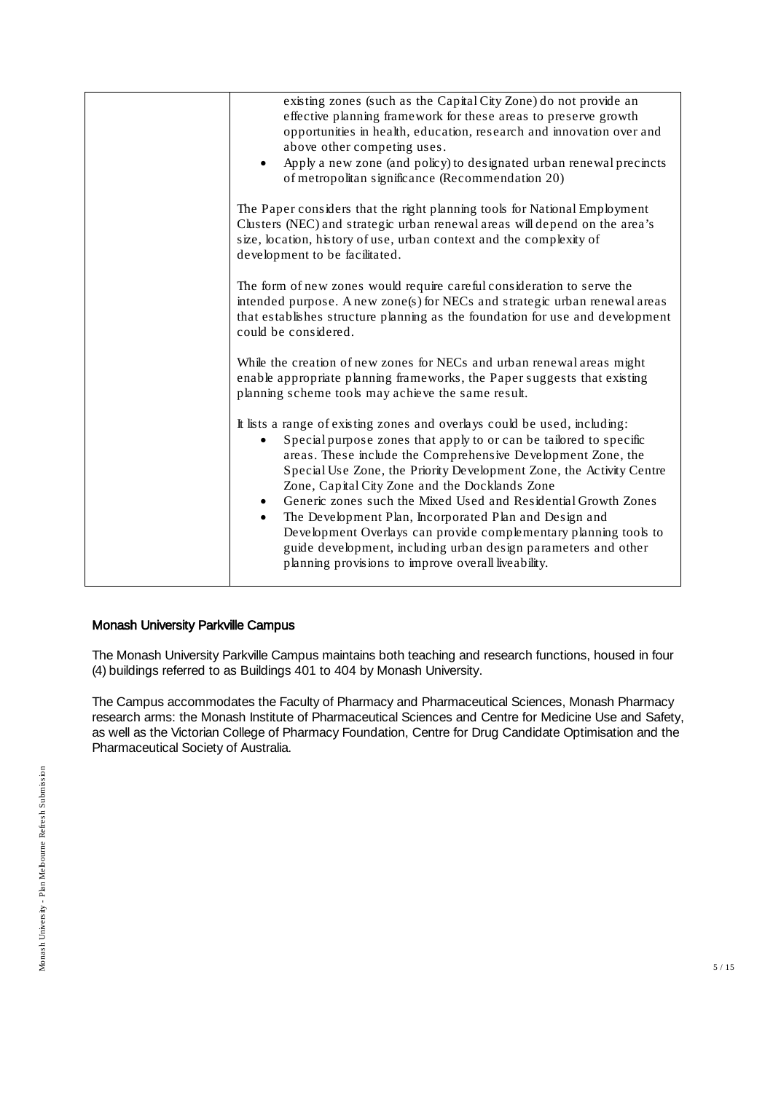| existing zones (such as the Capital City Zone) do not provide an<br>effective planning framework for these areas to preserve growth<br>opportunities in health, education, research and innovation over and<br>above other competing uses.<br>Apply a new zone (and policy) to designated urban renewal precincts<br>of metropolitan significance (Recommendation 20)                                                                                                                                                                                                                                                                                                           |
|---------------------------------------------------------------------------------------------------------------------------------------------------------------------------------------------------------------------------------------------------------------------------------------------------------------------------------------------------------------------------------------------------------------------------------------------------------------------------------------------------------------------------------------------------------------------------------------------------------------------------------------------------------------------------------|
| The Paper considers that the right planning tools for National Employment<br>Clusters (NEC) and strategic urban renewal areas will depend on the area's<br>size, location, history of use, urban context and the complexity of<br>development to be facilitated.                                                                                                                                                                                                                                                                                                                                                                                                                |
| The form of new zones would require careful consideration to serve the<br>intended purpose. A new zone(s) for NECs and strategic urban renewal areas<br>that establishes structure planning as the foundation for use and development<br>could be considered.                                                                                                                                                                                                                                                                                                                                                                                                                   |
| While the creation of new zones for NECs and urban renewal areas might<br>enable appropriate planning frameworks, the Paper suggests that existing<br>planning scheme tools may achieve the same result.                                                                                                                                                                                                                                                                                                                                                                                                                                                                        |
| It lists a range of existing zones and overlays could be used, including:<br>Special purpose zones that apply to or can be tailored to specific<br>areas. These include the Comprehensive Development Zone, the<br>Special Use Zone, the Priority Development Zone, the Activity Centre<br>Zone, Capital City Zone and the Docklands Zone<br>Generic zones such the Mixed Used and Residential Growth Zones<br>The Development Plan, Incorporated Plan and Design and<br>$\bullet$<br>Development Overlays can provide complementary planning tools to<br>guide development, including urban design parameters and other<br>planning provisions to improve overall liveability. |

## Monash University Parkville Campus

The Monash University Parkville Campus maintains both teaching and research functions, housed in four (4) buildings referred to as Buildings 401 to 404 by Monash University.

The Campus accommodates the Faculty of Pharmacy and Pharmaceutical Sciences, Monash Pharmacy research arms: the Monash Institute of Pharmaceutical Sciences and Centre for Medicine Use and Safety, as well as the Victorian College of Pharmacy Foundation, Centre for Drug Candidate Optimisation and the Pharmaceutical Society of Australia.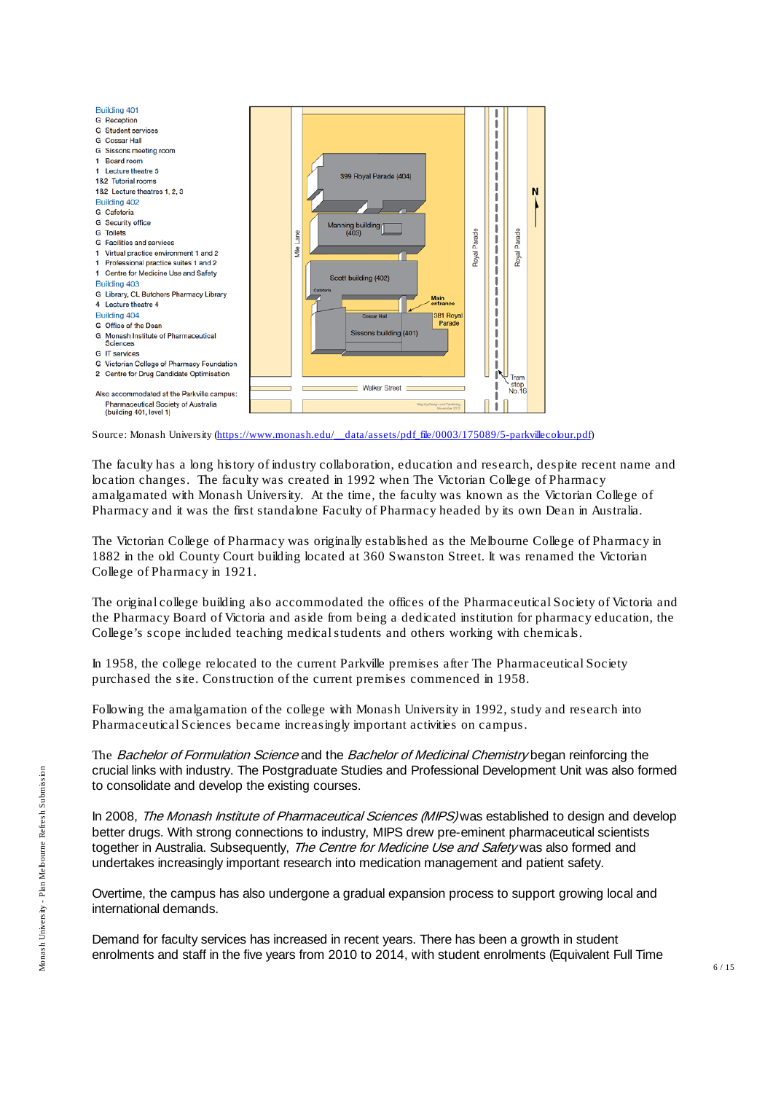

Source: Monash University [\(https://www.monash.edu/\\_\\_data/assets/pdf\\_file/0003/175089/5-parkvillecolour.pdf\)](https://www.monash.edu/__data/assets/pdf_file/0003/175089/5-parkvillecolour.pdf)

The faculty has a long history of industry collaboration, education and research, despite recent name and location changes. The faculty was created in 1992 when The Victorian College of Pharmacy amalgamated with Monash University. At the time, the faculty was known as the Victorian College of Pharmacy and it was the first standalone Faculty of Pharmacy headed by its own Dean in Australia.

The Victorian College of Pharmacy was originally established as the Melbourne College of Pharmacy in 1882 in the old County Court building located at 360 Swanston Street. It was renamed the Victorian College of Pharmacy in 1921.

The original college building also accommodated the offices of the Pharmaceutical Society of Victoria and the Pharmacy Board of Victoria and aside from being a dedicated institution for pharmacy education, the College's scope included teaching medical students and others working with chemicals.

In 1958, the college relocated to the current Parkville premises after The Pharmaceutical Society purchased the site. Construction of the current premises commenced in 1958.

Following the amalgamation of the college with Monash University in 1992, study and research into Pharmaceutical Sciences became increasingly important activities on campus.

The Bachelor of Formulation Science and the Bachelor of Medicinal Chemistry began reinforcing the crucial links with industry. The Postgraduate Studies and Professional Development Unit was also formed to consolidate and develop the existing courses.

In 2008, The Monash Institute of Pharmaceutical Sciences (MIPS) was established to design and develop better drugs. With strong connections to industry, MIPS drew pre-eminent pharmaceutical scientists together in Australia. Subsequently, The Centre for Medicine Use and Safety was also formed and undertakes increasingly important research into medication management and patient safety.

Overtime, the campus has also undergone a gradual expansion process to support growing local and international demands.

Demand for faculty services has increased in recent years. There has been a growth in student enrolments and staff in the five years from 2010 to 2014, with student enrolments (Equivalent Full Time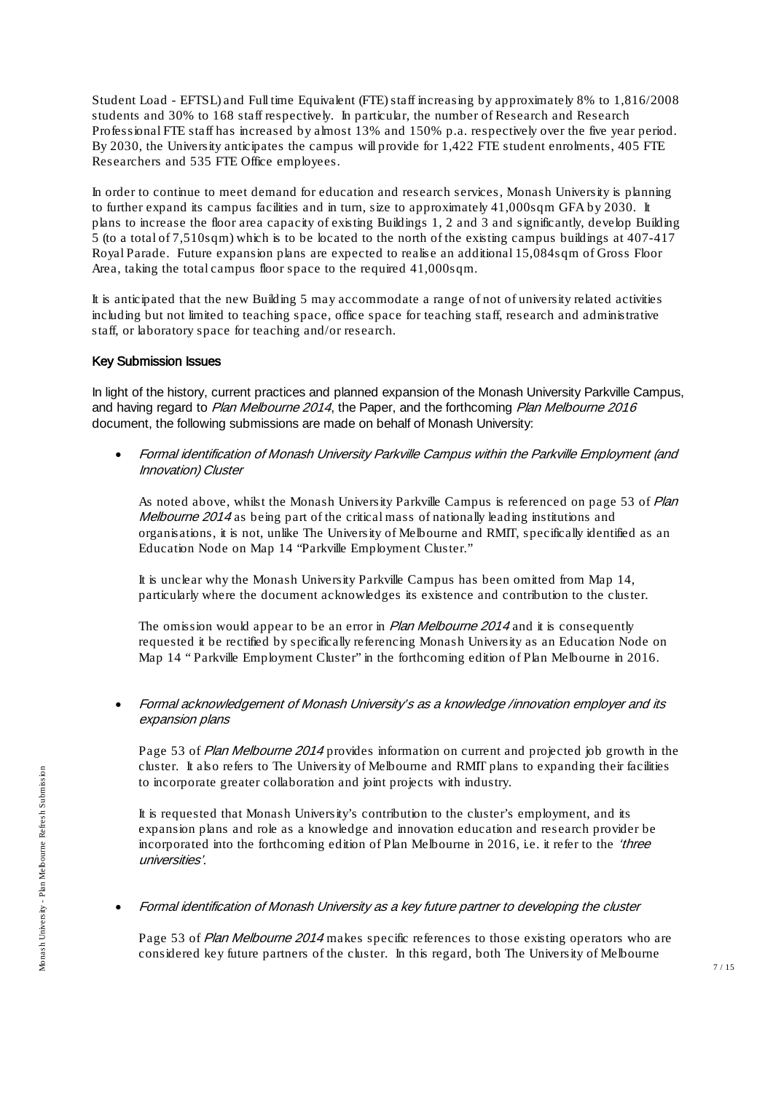Student Load - EFTSL) and Full time Equivalent (FTE)staff increasing by approximately 8% to 1,816/2008 students and 30% to 168 staff respectively. In particular, the number of Research and Research Professional FTE staff has increased by almost 13% and 150% p.a. respectively over the five year period. By 2030, the University anticipates the campus will provide for 1,422 FTE student enrolments, 405 FTE Researchers and 535 FTE Office employees.

In order to continue to meet demand for education and research services, Monash University is planning to further expand its campus facilities and in turn, size to approximately 41,000sqm GFA by 2030. It plans to increase the floor area capacity of existing Buildings 1, 2 and 3 and significantly, develop Building 5 (to a total of 7,510sqm) which is to be located to the north of the existing campus buildings at 407-417 Royal Parade. Future expansion plans are expected to realise an additional 15,084sqm of Gross Floor Area, taking the total campus floor space to the required 41,000sqm.

It is anticipated that the new Building 5 may accommodate a range of not of university related activities including but not limited to teaching space, office space for teaching staff, research and administrative staff, or laboratory space for teaching and/or research.

#### Key Submission Issues

In light of the history, current practices and planned expansion of the Monash University Parkville Campus, and having regard to Plan Melbourne 2014, the Paper, and the forthcoming Plan Melbourne 2016 document, the following submissions are made on behalf of Monash University:

• Formal identification of Monash University Parkville Campus within the Parkville Employment (and Innovation) Cluster

As noted above, whilst the Monash University Parkville Campus is referenced on page 53 of Plan *Melbourne 2014* as being part of the critical mass of nationally leading institutions and organisations, it is not, unlike The University of Melbourne and RMIT, specifically identified as an Education Node on Map 14 "Parkville Employment Cluster."

It is unclear why the Monash University Parkville Campus has been omitted from Map 14, particularly where the document acknowledges its existence and contribution to the cluster.

The omission would appear to be an error in *Plan Melbourne 2014* and it is consequently requested it be rectified by specifically referencing Monash University as an Education Node on Map 14 " Parkville Employment Cluster" in the forthcoming edition of Plan Melbourne in 2016.

• Formal acknowledgement of Monash University's as a knowledge /innovation employer and its expansion plans

Page 53 of Plan Melbourne 2014 provides information on current and projected job growth in the cluster. It also refers to The University of Melbourne and RMIT plans to expanding their facilities to incorporate greater collaboration and joint projects with industry.

It is requested that Monash University's contribution to the cluster's employment, and its expansion plans and role as a knowledge and innovation education and research provider be incorporated into the forthcoming edition of Plan Melbourne in 2016, i.e. it refer to the 'three universities'.

• Formal identification of Monash University as a key future partner to developing the cluster

Page 53 of Plan Melbourne 2014 makes specific references to those existing operators who are considered key future partners of the cluster. In this regard, both The University of Melbourne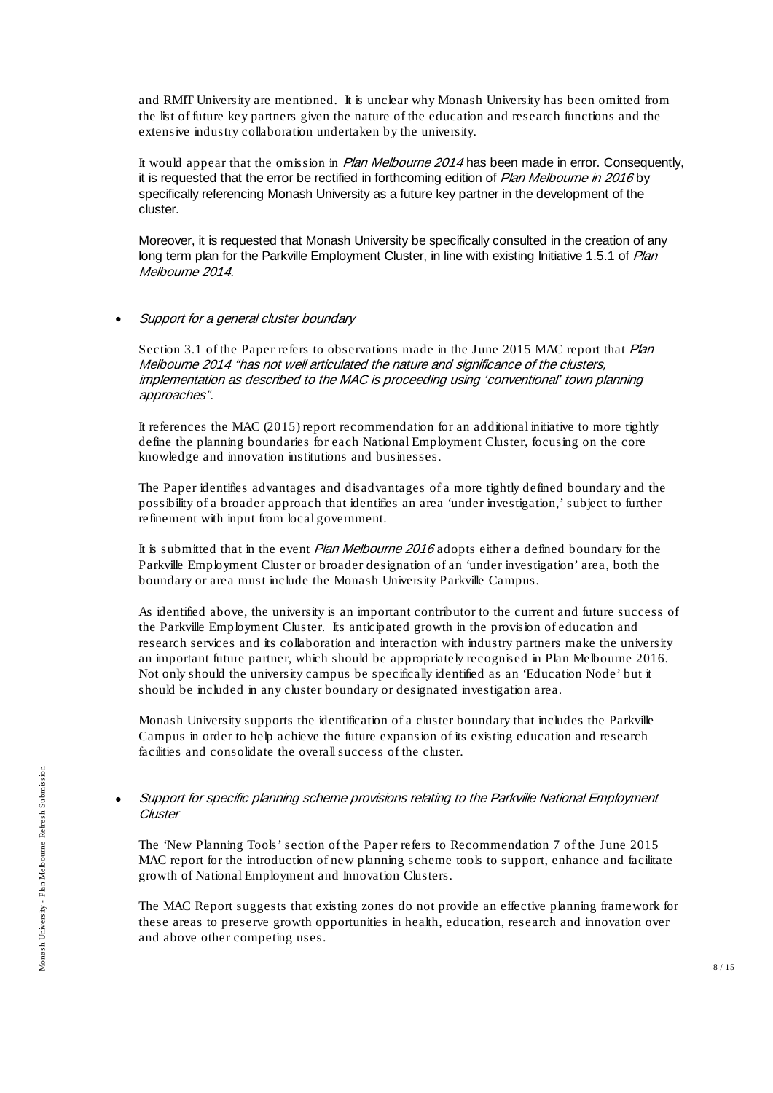and RMIT University are mentioned. It is unclear why Monash University has been omitted from the list of future key partners given the nature of the education and research functions and the extensive industry collaboration undertaken by the university.

It would appear that the omission in Plan Melbourne 2014 has been made in error. Consequently, it is requested that the error be rectified in forthcoming edition of Plan Melbourne in 2016 by specifically referencing Monash University as a future key partner in the development of the cluster.

Moreover, it is requested that Monash University be specifically consulted in the creation of any long term plan for the Parkville Employment Cluster, in line with existing Initiative 1.5.1 of Plan Melbourne 2014.

#### • Support for a general cluster boundary

Section 3.1 of the Paper refers to observations made in the June 2015 MAC report that *Plan* Melbourne 2014 "has not well articulated the nature and significance of the clusters, implementation as described to the MAC is proceeding using 'conventional' town planning approaches".

It references the MAC (2015) report recommendation for an additional initiative to more tightly define the planning boundaries for each National Employment Cluster, focusing on the core knowledge and innovation institutions and businesses.

The Paper identifies advantages and disadvantages of a more tightly defined boundary and the possibility of a broader approach that identifies an area 'under investigation,' subject to further refinement with input from local government.

It is submitted that in the event *Plan Melbourne 2016* adopts either a defined boundary for the Parkville Employment Cluster or broader designation of an 'under investigation' area, both the boundary or area must include the Monash University Parkville Campus.

As identified above, the university is an important contributor to the current and future success of the Parkville Employment Cluster. Its anticipated growth in the provision of education and research services and its collaboration and interaction with industry partners make the university an important future partner, which should be appropriately recognised in Plan Melbourne 2016. Not only should the university campus be specifically identified as an 'Education Node' but it should be included in any cluster boundary or designated investigation area.

Monash University supports the identification of a cluster boundary that includes the Parkville Campus in order to help achieve the future expansion of its existing education and research facilities and consolidate the overall success of the cluster.

#### • Support for specific planning scheme provisions relating to the Parkville National Employment **Cluster**

The 'New Planning Tools' section of the Paper refers to Recommendation 7 of the June 2015 MAC report for the introduction of new planning scheme tools to support, enhance and facilitate growth of National Employment and Innovation Clusters.

The MAC Report suggests that existing zones do not provide an effective planning framework for these areas to preserve growth opportunities in health, education, research and innovation over and above other competing uses.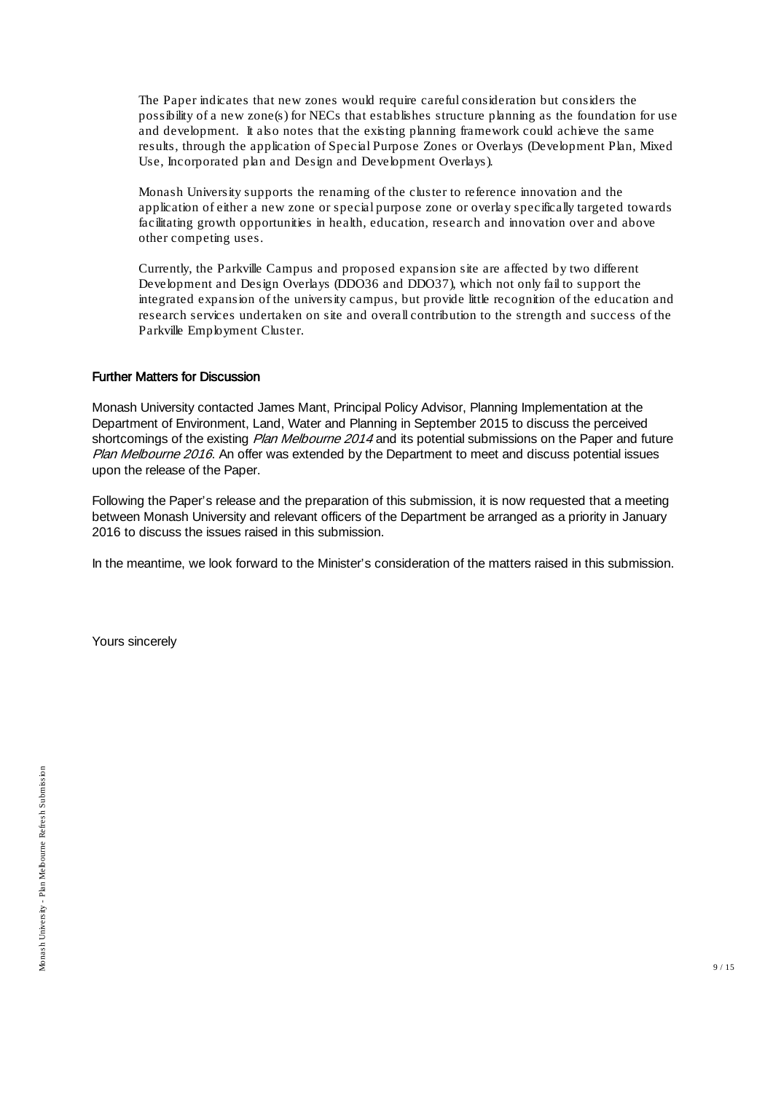The Paper indicates that new zones would require careful consideration but considers the possibility of a new zone(s) for NECs that establishes structure planning as the foundation for use and development. It also notes that the existing planning framework could achieve the same results, through the application of Special Purpose Zones or Overlays (Development Plan, Mixed Use, Incorporated plan and Design and Development Overlays).

Monash University supports the renaming of the cluster to reference innovation and the application of either a new zone or special purpose zone or overlay specifically targeted towards facilitating growth opportunities in health, education, research and innovation over and above other competing uses.

Currently, the Parkville Campus and proposed expansion site are affected by two different Development and Design Overlays (DDO36 and DDO37), which not only fail to support the integrated expansion of the university campus, but provide little recognition of the education and research services undertaken on site and overall contribution to the strength and success of the Parkville Employment Cluster.

#### Further Matters for Discussion

Monash University contacted James Mant, Principal Policy Advisor, Planning Implementation at the Department of Environment, Land, Water and Planning in September 2015 to discuss the perceived shortcomings of the existing *Plan Melbourne 2014* and its potential submissions on the Paper and future Plan Melbourne 2016. An offer was extended by the Department to meet and discuss potential issues upon the release of the Paper.

Following the Paper's release and the preparation of this submission, it is now requested that a meeting between Monash University and relevant officers of the Department be arranged as a priority in January 2016 to discuss the issues raised in this submission.

In the meantime, we look forward to the Minister's consideration of the matters raised in this submission.

Yours sincerely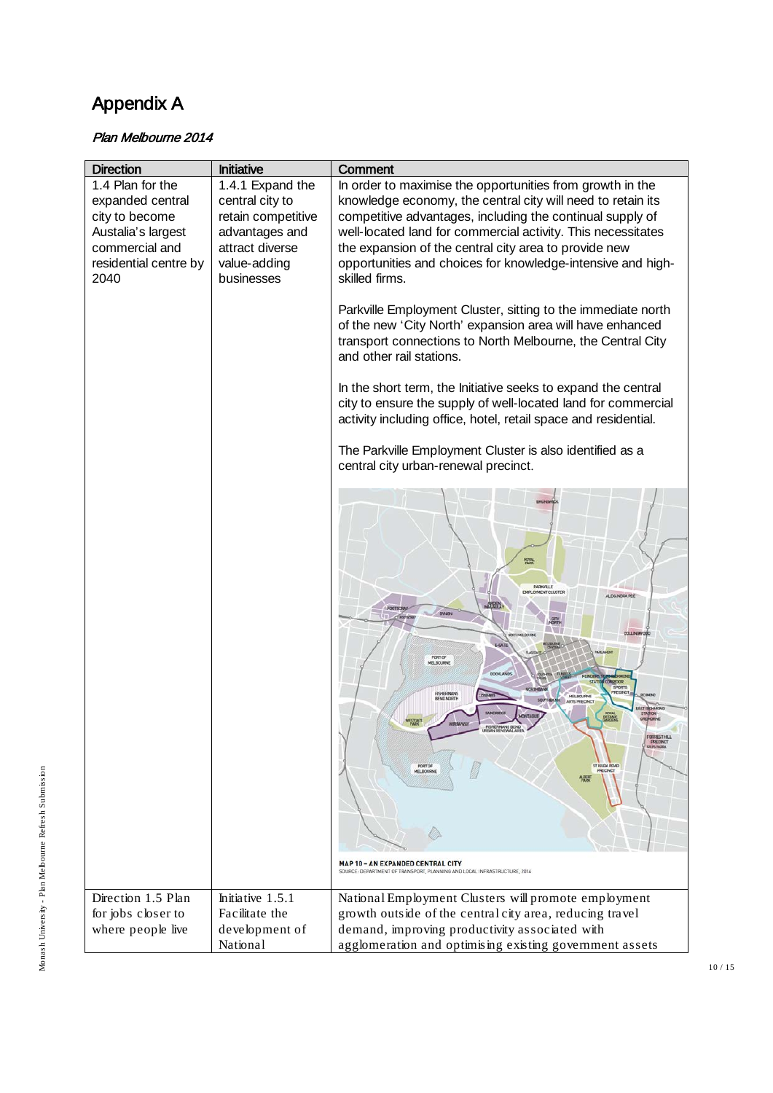# Appendix A

### Plan Melbourne 2014

| <b>Direction</b><br>1.4 Plan for the<br>expanded central<br>city to become<br>Austalia's largest<br>commercial and<br>residential centre by<br>2040 | Initiative<br>1.4.1 Expand the<br>central city to<br>retain competitive<br>advantages and<br>attract diverse<br>value-adding<br>businesses | Comment<br>In order to maximise the opportunities from growth in the<br>knowledge economy, the central city will need to retain its<br>competitive advantages, including the continual supply of<br>well-located land for commercial activity. This necessitates<br>the expansion of the central city area to provide new<br>opportunities and choices for knowledge-intensive and high-<br>skilled firms.<br>Parkville Employment Cluster, sitting to the immediate north<br>of the new 'City North' expansion area will have enhanced<br>transport connections to North Melbourne, the Central City<br>and other rail stations.<br>In the short term, the Initiative seeks to expand the central<br>city to ensure the supply of well-located land for commercial<br>activity including office, hotel, retail space and residential.<br>The Parkville Employment Cluster is also identified as a<br>central city urban-renewal precinct.<br>ROSAL<br>PARK<br><b>PARKVILLE</b><br><b>EMPLOWENT CLUSTER</b><br>ALEXANDRA PDE<br>MALAILA<br>DYNON<br>COLLINGWO<br><b>E-GATE</b><br><b>TARE LIGHTIN</b><br>PORT OF<br>MELBOURNE<br>DOCHLANDS<br><b>ROOR</b><br><b>SPORTS</b><br>FISHERMANS<br>SOUTHER<br><b>ARTS PRECINC</b><br><b>AST RICHARDNE</b><br>PRECINCT<br>PORT OF<br><b>ST KILDA ROAD</b><br>PRECINCT<br>MELBOURNE<br><b>MAP 10 - AN EXPANDED CENTRAL CITY</b><br>SOURCE: DEPARTMENT OF TRANSPORT, PLANNING AND LOCAL INFRASTRUCTURE, 2014 |
|-----------------------------------------------------------------------------------------------------------------------------------------------------|--------------------------------------------------------------------------------------------------------------------------------------------|----------------------------------------------------------------------------------------------------------------------------------------------------------------------------------------------------------------------------------------------------------------------------------------------------------------------------------------------------------------------------------------------------------------------------------------------------------------------------------------------------------------------------------------------------------------------------------------------------------------------------------------------------------------------------------------------------------------------------------------------------------------------------------------------------------------------------------------------------------------------------------------------------------------------------------------------------------------------------------------------------------------------------------------------------------------------------------------------------------------------------------------------------------------------------------------------------------------------------------------------------------------------------------------------------------------------------------------------------------------------------------------------------------------------------------------------------|
| Direction 1.5 Plan                                                                                                                                  | Initiative 1.5.1                                                                                                                           | National Employment Clusters will promote employment                                                                                                                                                                                                                                                                                                                                                                                                                                                                                                                                                                                                                                                                                                                                                                                                                                                                                                                                                                                                                                                                                                                                                                                                                                                                                                                                                                                               |
| for jobs closer to                                                                                                                                  | Facilitate the                                                                                                                             | growth outside of the central city area, reducing travel                                                                                                                                                                                                                                                                                                                                                                                                                                                                                                                                                                                                                                                                                                                                                                                                                                                                                                                                                                                                                                                                                                                                                                                                                                                                                                                                                                                           |
| where people live                                                                                                                                   | development of                                                                                                                             | demand, improving productivity associated with                                                                                                                                                                                                                                                                                                                                                                                                                                                                                                                                                                                                                                                                                                                                                                                                                                                                                                                                                                                                                                                                                                                                                                                                                                                                                                                                                                                                     |
|                                                                                                                                                     | National                                                                                                                                   | agglomeration and optimising existing government assets                                                                                                                                                                                                                                                                                                                                                                                                                                                                                                                                                                                                                                                                                                                                                                                                                                                                                                                                                                                                                                                                                                                                                                                                                                                                                                                                                                                            |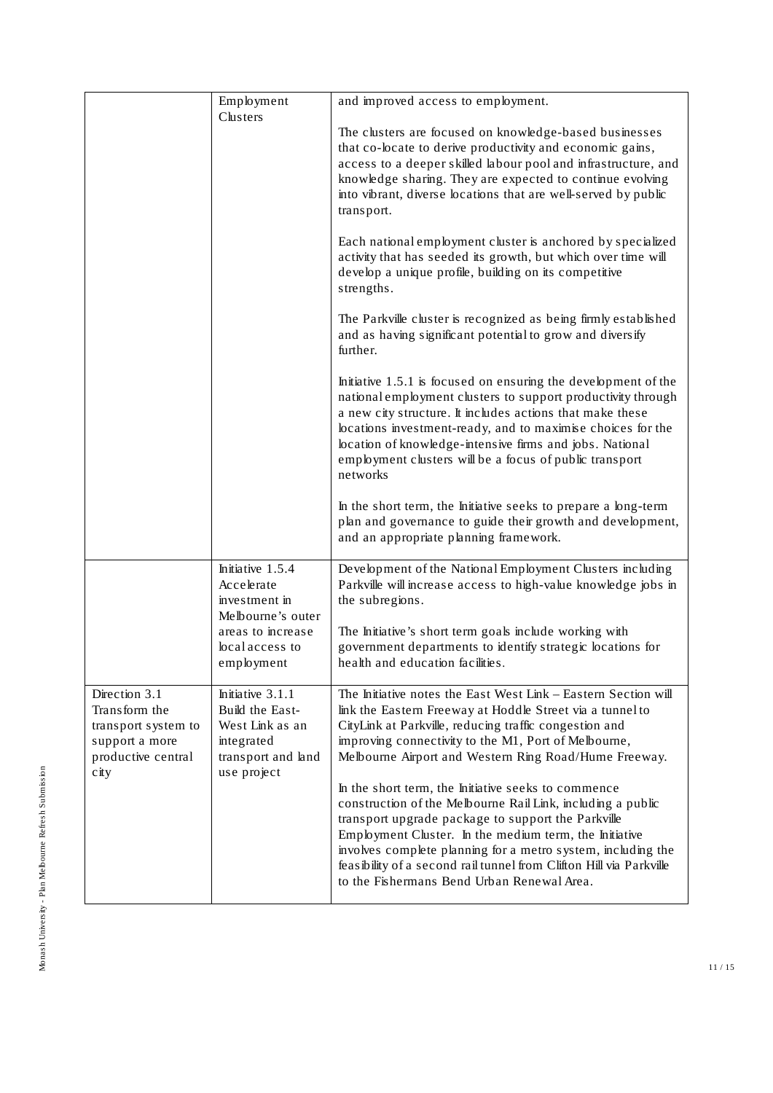|                                                                                                       | Employment<br>Clusters                                                                                    | and improved access to employment.                                                                                                                                                                                                                                                                                                                                                                                      |
|-------------------------------------------------------------------------------------------------------|-----------------------------------------------------------------------------------------------------------|-------------------------------------------------------------------------------------------------------------------------------------------------------------------------------------------------------------------------------------------------------------------------------------------------------------------------------------------------------------------------------------------------------------------------|
|                                                                                                       |                                                                                                           | The clusters are focused on knowledge-based businesses<br>that co-locate to derive productivity and economic gains,<br>access to a deeper skilled labour pool and infrastructure, and<br>knowledge sharing. They are expected to continue evolving<br>into vibrant, diverse locations that are well-served by public<br>transport.                                                                                      |
|                                                                                                       |                                                                                                           | Each national employment cluster is anchored by specialized<br>activity that has seeded its growth, but which over time will<br>develop a unique profile, building on its competitive<br>strengths.                                                                                                                                                                                                                     |
|                                                                                                       |                                                                                                           | The Parkville cluster is recognized as being firmly established<br>and as having significant potential to grow and diversify<br>further.                                                                                                                                                                                                                                                                                |
|                                                                                                       |                                                                                                           | Initiative 1.5.1 is focused on ensuring the development of the<br>national employment clusters to support productivity through<br>a new city structure. It includes actions that make these<br>locations investment-ready, and to maximise choices for the<br>location of knowledge-intensive firms and jobs. National<br>employment clusters will be a focus of public transport<br>networks                           |
|                                                                                                       |                                                                                                           | In the short term, the Initiative seeks to prepare a long-term<br>plan and governance to guide their growth and development,<br>and an appropriate planning framework.                                                                                                                                                                                                                                                  |
|                                                                                                       | Initiative 1.5.4<br>Accelerate<br>investment in<br>Melbourne's outer                                      | Development of the National Employment Clusters including<br>Parkville will increase access to high-value knowledge jobs in<br>the subregions.                                                                                                                                                                                                                                                                          |
|                                                                                                       | areas to increase<br>local access to<br>employment                                                        | The Initiative's short term goals include working with<br>government departments to identify strategic locations for<br>health and education facilities.                                                                                                                                                                                                                                                                |
| Direction 3.1<br>Transform the<br>transport system to<br>support a more<br>productive central<br>city | Initiative 3.1.1<br>Build the East-<br>West Link as an<br>integrated<br>transport and land<br>use project | The Initiative notes the East West Link - Eastern Section will<br>link the Eastern Freeway at Hoddle Street via a tunnel to<br>CityLink at Parkville, reducing traffic congestion and<br>improving connectivity to the M1, Port of Melbourne,<br>Melbourne Airport and Western Ring Road/Hume Freeway.                                                                                                                  |
|                                                                                                       |                                                                                                           | In the short term, the Initiative seeks to commence<br>construction of the Melbourne Rail Link, including a public<br>transport upgrade package to support the Parkville<br>Employment Cluster. In the medium term, the Initiative<br>involves complete planning for a metro system, including the<br>feasibility of a second rail tunnel from Clifton Hill via Parkville<br>to the Fishermans Bend Urban Renewal Area. |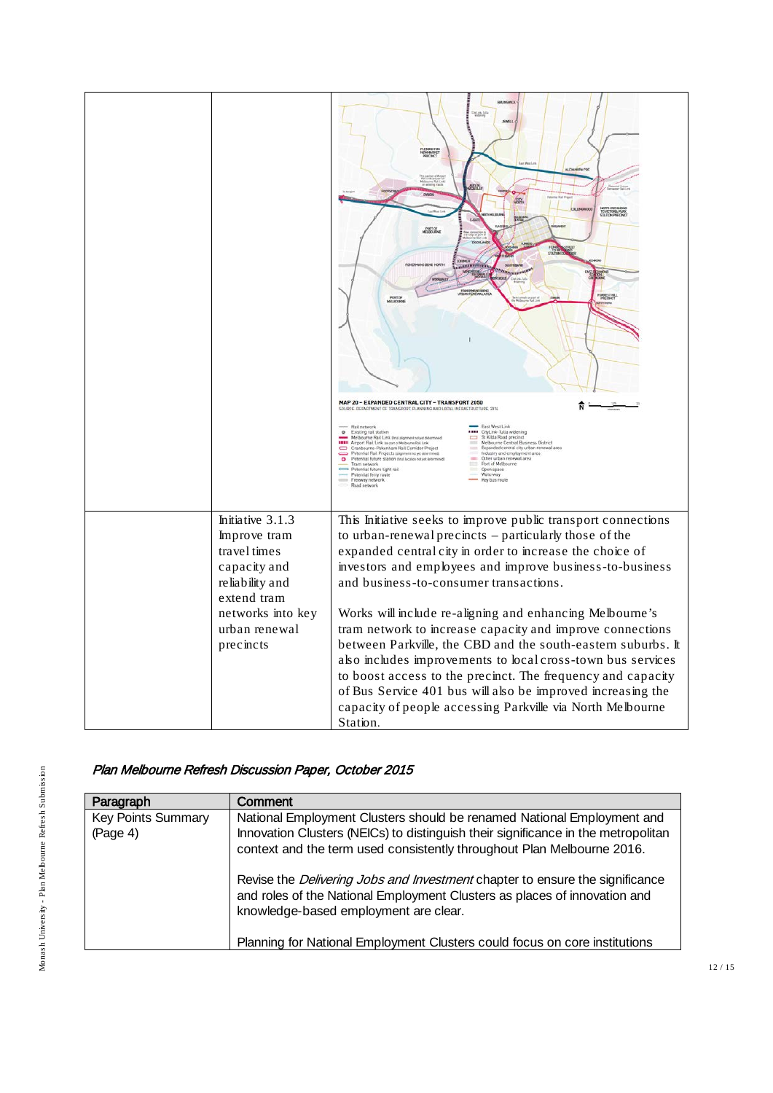|                                                                                     | flemmente<br>Newmarker<br>ALEXANDRA POD<br>the packet<br>Rief Lynk Jan part<br><b>MAGN</b><br><b>COLLING</b><br>NUMERI HEREPENDA<br>PORT OF<br>0000148<br><b><i>PENDINANS BEND NORTH</i></b><br><b>montana</b><br>HERMING BEND<br>VNFLMLVAL, AFE<br><b>PORCHER</b><br>MAP 20 - EXPANDED CENTRAL CITY - TRANSPORT 2050<br>SOURCE: DEPARTMENT OF TRANSPORT, PLANNING AND LOCAL INFRASTRUCTURE, 2014<br>East West Link<br>Rail network<br>Existing rail station<br><br>CityLink Tulla widening<br>St Kilda Road precinct<br>Melbourne Rail Link (feat alignment not yet determined)<br>$\equiv$<br>Melbourne Rail Link mail against an prof. (19)<br>INIII Airport Rail Link tai part Melbourne Rail Link<br>Cranbourne-Pakenham Rail Cornidor (Project<br>Melbourne Central Business District<br>Expanded central city urban renewal area<br><b>Table</b><br>Potential Rail Projects (signmen not yet determined)<br>Potential future station (teal location net yet determined)<br>Industry and employment area<br>Other urban renewal area<br>$\bullet$<br>Tram network<br>Potential future light rail<br>Port of Melbourne<br>Open space<br>Potential ferry route<br>Freeway network<br>Waterway<br>Key bus route<br>Road network |
|-------------------------------------------------------------------------------------|------------------------------------------------------------------------------------------------------------------------------------------------------------------------------------------------------------------------------------------------------------------------------------------------------------------------------------------------------------------------------------------------------------------------------------------------------------------------------------------------------------------------------------------------------------------------------------------------------------------------------------------------------------------------------------------------------------------------------------------------------------------------------------------------------------------------------------------------------------------------------------------------------------------------------------------------------------------------------------------------------------------------------------------------------------------------------------------------------------------------------------------------------------------------------------------------------------------------------------|
| Initiative 3.1.3<br>Improve tram<br>travel times<br>capacity and<br>reliability and | This Initiative seeks to improve public transport connections<br>to urban-renewal precincts – particularly those of the<br>expanded central city in order to increase the choice of<br>investors and employees and improve business-to-business<br>and business-to-consumer transactions.                                                                                                                                                                                                                                                                                                                                                                                                                                                                                                                                                                                                                                                                                                                                                                                                                                                                                                                                          |
| extend tram<br>networks into key<br>urban renewal<br>precincts                      | Works will include re-aligning and enhancing Melbourne's<br>tram network to increase capacity and improve connections<br>between Parkville, the CBD and the south-eastern suburbs. It<br>also includes improvements to local cross-town bus services<br>to boost access to the precinct. The frequency and capacity<br>of Bus Service 401 bus will also be improved increasing the<br>capacity of people accessing Parkville via North Melbourne<br>Station.                                                                                                                                                                                                                                                                                                                                                                                                                                                                                                                                                                                                                                                                                                                                                                       |

## Plan Melbourne Refresh Discussion Paper, October 2015

| Paragraph                             | Comment                                                                                                                                                                                                                               |
|---------------------------------------|---------------------------------------------------------------------------------------------------------------------------------------------------------------------------------------------------------------------------------------|
| <b>Key Points Summary</b><br>(Page 4) | National Employment Clusters should be renamed National Employment and<br>Innovation Clusters (NEICs) to distinguish their significance in the metropolitan<br>context and the term used consistently throughout Plan Melbourne 2016. |
|                                       | Revise the <i>Delivering Jobs and Investment</i> chapter to ensure the significance<br>and roles of the National Employment Clusters as places of innovation and<br>knowledge-based employment are clear.                             |
|                                       | Planning for National Employment Clusters could focus on core institutions                                                                                                                                                            |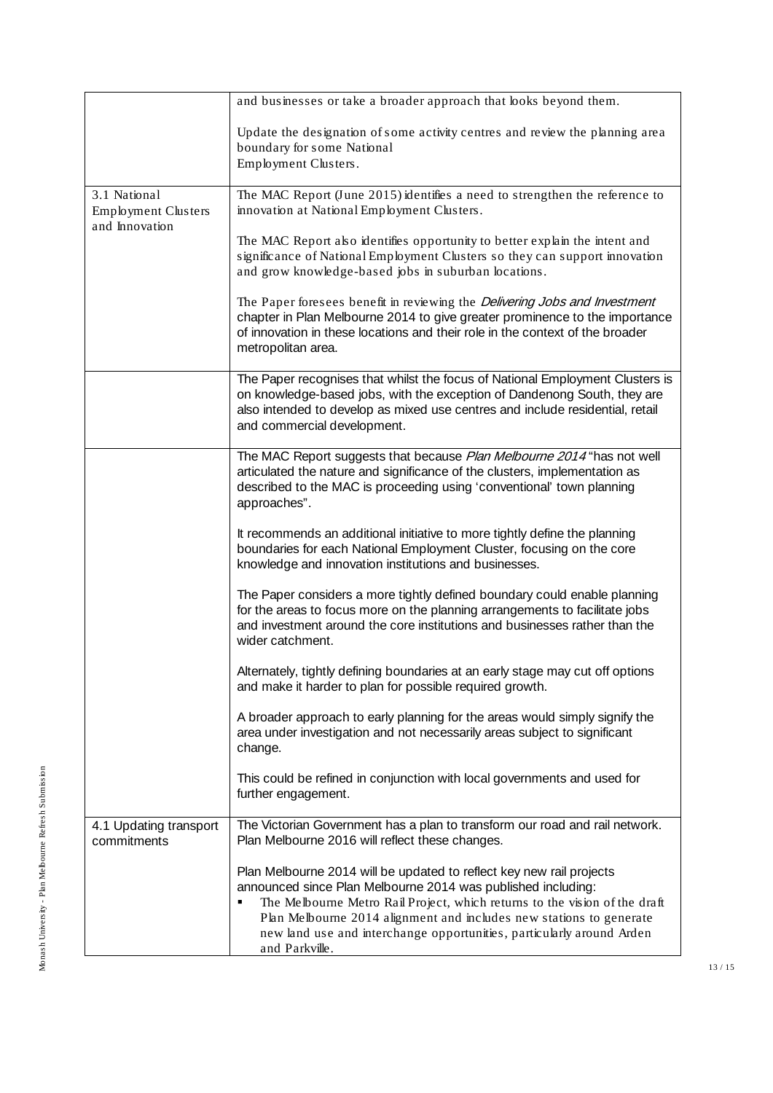|                                            | and businesses or take a broader approach that looks beyond them.                                                                                                                                                                                                                                                                                                                         |
|--------------------------------------------|-------------------------------------------------------------------------------------------------------------------------------------------------------------------------------------------------------------------------------------------------------------------------------------------------------------------------------------------------------------------------------------------|
|                                            | Update the designation of some activity centres and review the planning area<br>boundary for some National<br>Employment Clusters.                                                                                                                                                                                                                                                        |
| 3.1 National<br><b>Employment Clusters</b> | The MAC Report (June 2015) identifies a need to strengthen the reference to<br>innovation at National Employment Clusters.                                                                                                                                                                                                                                                                |
| and Innovation                             | The MAC Report also identifies opportunity to better explain the intent and<br>significance of National Employment Clusters so they can support innovation<br>and grow knowledge-based jobs in suburban locations.                                                                                                                                                                        |
|                                            | The Paper foresees benefit in reviewing the Delivering Jobs and Investment<br>chapter in Plan Melbourne 2014 to give greater prominence to the importance<br>of innovation in these locations and their role in the context of the broader<br>metropolitan area.                                                                                                                          |
|                                            | The Paper recognises that whilst the focus of National Employment Clusters is<br>on knowledge-based jobs, with the exception of Dandenong South, they are<br>also intended to develop as mixed use centres and include residential, retail<br>and commercial development.                                                                                                                 |
|                                            | The MAC Report suggests that because Plan Melbourne 2014 "has not well<br>articulated the nature and significance of the clusters, implementation as<br>described to the MAC is proceeding using 'conventional' town planning<br>approaches".                                                                                                                                             |
|                                            | It recommends an additional initiative to more tightly define the planning<br>boundaries for each National Employment Cluster, focusing on the core<br>knowledge and innovation institutions and businesses.                                                                                                                                                                              |
|                                            | The Paper considers a more tightly defined boundary could enable planning<br>for the areas to focus more on the planning arrangements to facilitate jobs<br>and investment around the core institutions and businesses rather than the<br>wider catchment.                                                                                                                                |
|                                            | Alternately, tightly defining boundaries at an early stage may cut off options<br>and make it harder to plan for possible required growth.                                                                                                                                                                                                                                                |
|                                            | A broader approach to early planning for the areas would simply signify the<br>area under investigation and not necessarily areas subject to significant<br>change.                                                                                                                                                                                                                       |
|                                            | This could be refined in conjunction with local governments and used for<br>further engagement.                                                                                                                                                                                                                                                                                           |
| 4.1 Updating transport<br>commitments      | The Victorian Government has a plan to transform our road and rail network.<br>Plan Melbourne 2016 will reflect these changes.                                                                                                                                                                                                                                                            |
|                                            | Plan Melbourne 2014 will be updated to reflect key new rail projects<br>announced since Plan Melbourne 2014 was published including:<br>The Melbourne Metro Rail Project, which returns to the vision of the draft<br>٠<br>Plan Melbourne 2014 alignment and includes new stations to generate<br>new land use and interchange opportunities, particularly around Arden<br>and Parkville. |

13 / 15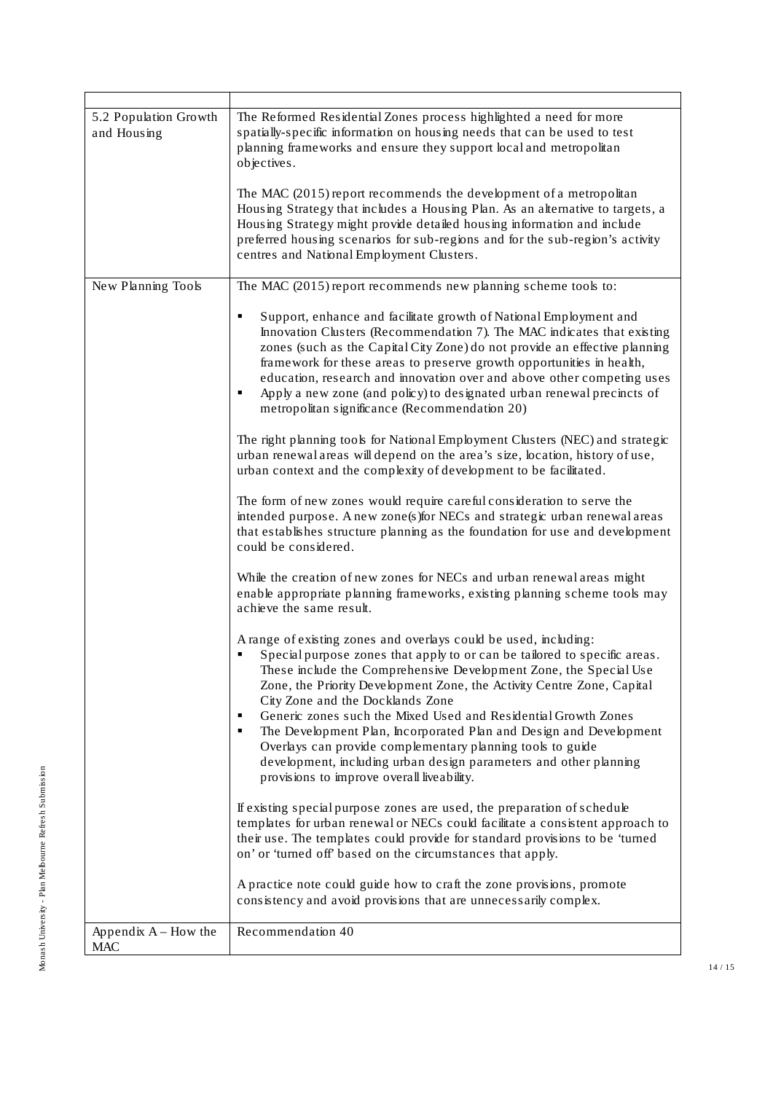| 5.2 Population Growth<br>and Housing | The Reformed Residential Zones process highlighted a need for more<br>spatially-specific information on housing needs that can be used to test<br>planning frameworks and ensure they support local and metropolitan<br>objectives.                                                                                                                                                                                                                                                                                                                                                                                                                                 |
|--------------------------------------|---------------------------------------------------------------------------------------------------------------------------------------------------------------------------------------------------------------------------------------------------------------------------------------------------------------------------------------------------------------------------------------------------------------------------------------------------------------------------------------------------------------------------------------------------------------------------------------------------------------------------------------------------------------------|
|                                      | The MAC (2015) report recommends the development of a metropolitan<br>Housing Strategy that includes a Housing Plan. As an alternative to targets, a<br>Housing Strategy might provide detailed housing information and include<br>preferred housing scenarios for sub-regions and for the sub-region's activity<br>centres and National Employment Clusters.                                                                                                                                                                                                                                                                                                       |
| New Planning Tools                   | The MAC (2015) report recommends new planning scheme tools to:                                                                                                                                                                                                                                                                                                                                                                                                                                                                                                                                                                                                      |
|                                      | Support, enhance and facilitate growth of National Employment and<br>٠<br>Innovation Clusters (Recommendation 7). The MAC indicates that existing<br>zones (such as the Capital City Zone) do not provide an effective planning<br>framework for these areas to preserve growth opportunities in health,<br>education, research and innovation over and above other competing uses<br>Apply a new zone (and policy) to designated urban renewal precincts of<br>٠<br>metropolitan significance (Recommendation 20)                                                                                                                                                  |
|                                      | The right planning tools for National Employment Clusters (NEC) and strategic<br>urban renewal areas will depend on the area's size, location, history of use,<br>urban context and the complexity of development to be facilitated.                                                                                                                                                                                                                                                                                                                                                                                                                                |
|                                      | The form of new zones would require careful consideration to serve the<br>intended purpose. A new zone(s) for NECs and strategic urban renewal areas<br>that establishes structure planning as the foundation for use and development<br>could be considered.                                                                                                                                                                                                                                                                                                                                                                                                       |
|                                      | While the creation of new zones for NECs and urban renewal areas might<br>enable appropriate planning frameworks, existing planning scheme tools may<br>achieve the same result.                                                                                                                                                                                                                                                                                                                                                                                                                                                                                    |
|                                      | A range of existing zones and overlays could be used, including:<br>Special purpose zones that apply to or can be tailored to specific areas.<br>These include the Comprehensive Development Zone, the Special Use<br>Zone, the Priority Development Zone, the Activity Centre Zone, Capital<br>City Zone and the Docklands Zone<br>Generic zones such the Mixed Used and Residential Growth Zones<br>٠<br>The Development Plan, Incorporated Plan and Design and Development<br>٠<br>Overlays can provide complementary planning tools to guide<br>development, including urban design parameters and other planning<br>provisions to improve overall liveability. |
|                                      | If existing special purpose zones are used, the preparation of schedule<br>templates for urban renewal or NECs could facilitate a consistent approach to<br>their use. The templates could provide for standard provisions to be 'turned<br>on' or 'turned off' based on the circumstances that apply.                                                                                                                                                                                                                                                                                                                                                              |
|                                      | A practice note could guide how to craft the zone provisions, promote<br>consistency and avoid provisions that are unnecessarily complex.                                                                                                                                                                                                                                                                                                                                                                                                                                                                                                                           |
| Appendix A - How the<br><b>MAC</b>   | Recommendation 40                                                                                                                                                                                                                                                                                                                                                                                                                                                                                                                                                                                                                                                   |

14 / 15